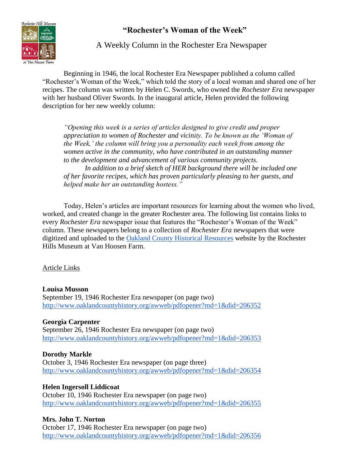# **"Rochester's Woman of the Week"**



A Weekly Column in the Rochester Era Newspaper

Beginning in 1946, the local Rochester Era Newspaper published a column called "Rochester's Woman of the Week," which told the story of a local woman and shared one of her recipes. The column was written by Helen C. Swords, who owned the *Rochester Era* newspaper with her husband Oliver Swords. In the inaugural article, Helen provided the following description for her new weekly column:

*"Opening this week is a series of articles designed to give credit and proper appreciation to women of Rochester and vicinity. To be known as the 'Woman of the Week,' the column will bring you a personality each week from among the women active in the community, who have contributed in an outstanding manner to the development and advancement of various community projects. In addition to a brief sketch of HER background there will be included one of her favorite recipes, which has proven particularly pleasing to her guests, and helped make her an outstanding hostess."*

Today, Helen's articles are important resources for learning about the women who lived, worked, and created change in the greater Rochester area. The following list contains links to every *Rochester Era* newspaper issue that features the "Rochester's Woman of the Week" column. These newspapers belong to a collection of *Rochester Era* newspapers that were digitized and uploaded to the [Oakland County Historical Resources](http://oaklandcountyhistory.org/) website by the Rochester Hills Museum at Van Hoosen Farm.

# Article Links

#### **Louisa Musson**

September 19, 1946 Rochester Era newspaper (on page two) <http://www.oaklandcountyhistory.org/awweb/pdfopener?md=1&did=206352>

# **Georgia Carpenter**

September 26, 1946 Rochester Era newspaper (on page two) <http://www.oaklandcountyhistory.org/awweb/pdfopener?md=1&did=206353>

#### **Dorothy Markle** October 3, 1946 Rochester Era newspaper (on page three) <http://www.oaklandcountyhistory.org/awweb/pdfopener?md=1&did=206354>

**Helen Ingersoll Liddicoat** October 10, 1946 Rochester Era newspaper (on page two) <http://www.oaklandcountyhistory.org/awweb/pdfopener?md=1&did=206355>

#### **Mrs. John T. Norton** October 17, 1946 Rochester Era newspaper (on page two) <http://www.oaklandcountyhistory.org/awweb/pdfopener?md=1&did=206356>